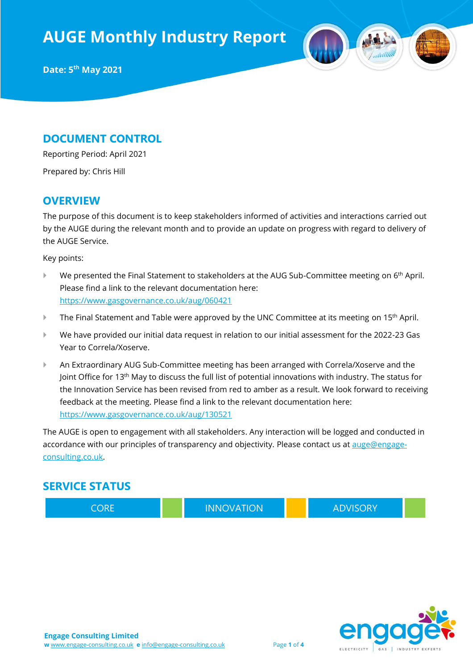**AUGE Monthly Industry Report**



#### **DOCUMENT CONTROL**

Reporting Period: April 2021

Prepared by: Chris Hill

#### **OVERVIEW**

The purpose of this document is to keep stakeholders informed of activities and interactions carried out by the AUGE during the relevant month and to provide an update on progress with regard to delivery of the AUGE Service.

Key points:

- $\blacktriangleright$  We presented the Final Statement to stakeholders at the AUG Sub-Committee meeting on 6<sup>th</sup> April. Please find a link to the relevant documentation here: <https://www.gasgovernance.co.uk/aug/060421>
- The Final Statement and Table were approved by the UNC Committee at its meeting on 15<sup>th</sup> April.
- We have provided our initial data request in relation to our initial assessment for the 2022-23 Gas Year to Correla/Xoserve.
- An Extraordinary AUG Sub-Committee meeting has been arranged with Correla/Xoserve and the Joint Office for 13th May to discuss the full list of potential innovations with industry. The status for the Innovation Service has been revised from red to amber as a result. We look forward to receiving feedback at the meeting. Please find a link to the relevant documentation here: <https://www.gasgovernance.co.uk/aug/130521>

The AUGE is open to engagement with all stakeholders. Any interaction will be logged and conducted in accordance with our principles of transparency and objectivity. Please contact us at [auge@engage](mailto:auge@engage-consulting.co.uk)[consulting.co.uk.](mailto:auge@engage-consulting.co.uk)

### **SERVICE STATUS**

CORE **INNOVATION ADVISORY** 

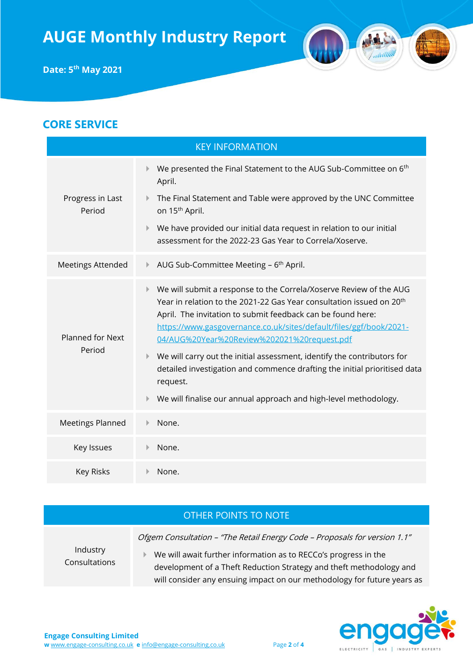

#### OTHER POINTS TO NOTE

Ofgem Consultation – "The Retail Energy Code – Proposals for version 1.1"

Industry Consultations

 We will await further information as to RECCo's progress in the development of a Theft Reduction Strategy and theft methodology and will consider any ensuing impact on our methodology for future years as

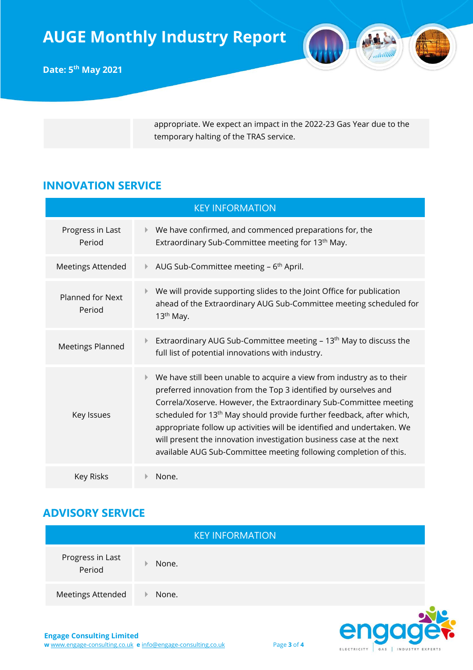

**Date: 5 th May 2021**

appropriate. We expect an impact in the 2022-23 Gas Year due to the temporary halting of the TRAS service.

## **INNOVATION SERVICE**

| <b>KEY INFORMATION</b>            |                                                                                                                                                                                                                                                                                                                                                                                                                                                                                                                               |  |  |
|-----------------------------------|-------------------------------------------------------------------------------------------------------------------------------------------------------------------------------------------------------------------------------------------------------------------------------------------------------------------------------------------------------------------------------------------------------------------------------------------------------------------------------------------------------------------------------|--|--|
| Progress in Last<br>Period        | We have confirmed, and commenced preparations for, the<br>Þ.<br>Extraordinary Sub-Committee meeting for 13 <sup>th</sup> May.                                                                                                                                                                                                                                                                                                                                                                                                 |  |  |
| <b>Meetings Attended</b>          | AUG Sub-Committee meeting $-6$ <sup>th</sup> April.                                                                                                                                                                                                                                                                                                                                                                                                                                                                           |  |  |
| <b>Planned for Next</b><br>Period | We will provide supporting slides to the Joint Office for publication<br>ahead of the Extraordinary AUG Sub-Committee meeting scheduled for<br>$13th$ May.                                                                                                                                                                                                                                                                                                                                                                    |  |  |
| <b>Meetings Planned</b>           | Extraordinary AUG Sub-Committee meeting - 13 <sup>th</sup> May to discuss the<br>full list of potential innovations with industry.                                                                                                                                                                                                                                                                                                                                                                                            |  |  |
| Key Issues                        | We have still been unable to acquire a view from industry as to their<br>Þ.<br>preferred innovation from the Top 3 identified by ourselves and<br>Correla/Xoserve. However, the Extraordinary Sub-Committee meeting<br>scheduled for 13 <sup>th</sup> May should provide further feedback, after which,<br>appropriate follow up activities will be identified and undertaken. We<br>will present the innovation investigation business case at the next<br>available AUG Sub-Committee meeting following completion of this. |  |  |
| Key Risks                         | None.                                                                                                                                                                                                                                                                                                                                                                                                                                                                                                                         |  |  |

## **ADVISORY SERVICE**

|                            | <b>KEY INFORMATION</b> |  |
|----------------------------|------------------------|--|
| Progress in Last<br>Period | None.                  |  |
| Meetings Attended          | None.<br>æ             |  |
|                            |                        |  |



er

**ELECTRICITY** 

GAS